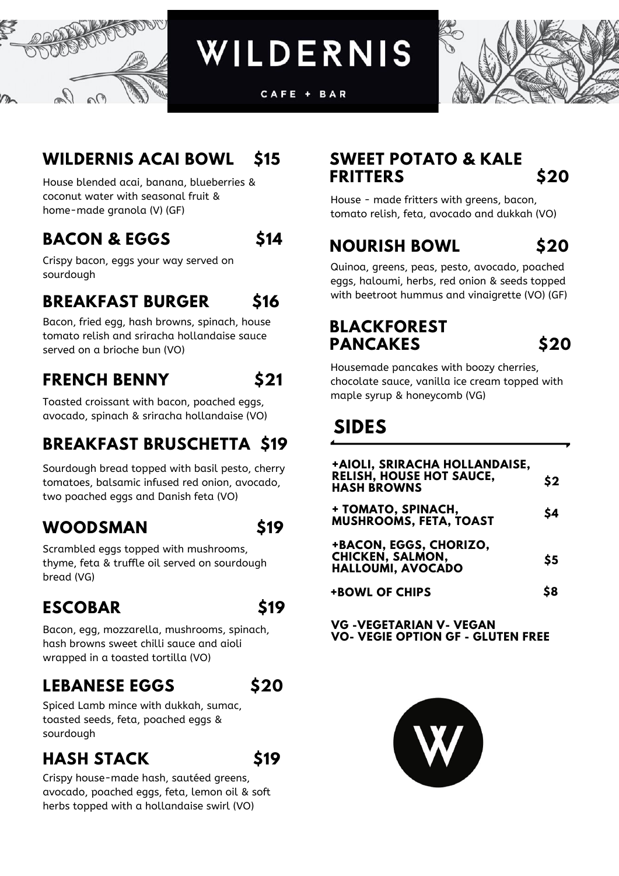

WILDERNIS

CAFE + BAR



### **WILDERNIS ACAI BOWL \$15**

House blended acai, banana, blueberries & coconut water with seasonal fruit & home-made granola (V) (GF)

#### **BACON & EGGS \$14**



Crispy bacon, eggs your way served on sourdough

### **BREAKFAST BURGER \$16**

Bacon, fried egg, hash browns, spinach, house tomato relish and sriracha hollandaise sauce served on a brioche bun (VO)

# **FRENCH BENNY \$21**

Toasted croissant with bacon, poached eggs, avocado, spinach & sriracha hollandaise (VO)

# **BREAKFAST BRUSCHETTA \$19**

Sourdough bread topped with basil pesto, cherry tomatoes, balsamic infused red onion, avocado, two poached eggs and Danish feta (VO)

### **WOODSMAN \$19**

Scrambled eggs topped with mushrooms, thyme, feta & truffle oil served on sourdough bread (VG)

# **ESCOBAR \$19**

Bacon, egg, mozzarella, mushrooms, spinach, hash browns sweet chilli sauce and aioli wrapped in a toasted tortilla (VO)

### **LEBANESE EGGS \$20**



Spiced Lamb mince with dukkah, sumac, toasted seeds, feta, poached eggs & sourdough

### **HASH STACK \$19**



Crispy house-made hash, sautéed greens, avocado, poached eggs, feta, lemon oil & soft herbs topped with a hollandaise swirl (VO)

#### **SWEET POTATO & KALE FRITTERS \$20**

House - made fritters with greens, bacon, tomato relish, feta, avocado and dukkah (VO)

# **NOURISH BOWL \$20**

Quinoa, greens, peas, pesto, avocado, poached eggs, haloumi, herbs, red onion & seeds topped with beetroot hummus and vinaigrette (VO) (GF)

#### **BLACKFOREST PANCAKES \$20**

Housemade pancakes with boozy cherries, chocolate sauce, vanilla ice cream topped with maple syrup & honeycomb (VG)

# **SIDES**

| +AIOLI, SRIRACHA HOLLANDAISE,<br><b>RELISH, HOUSE HOT SAUCE,</b><br><b>HASH BROWNS</b> | $\mathsf{S2}$ |
|----------------------------------------------------------------------------------------|---------------|
| + TOMATO, SPINACH,<br><b>MUSHROOMS, FETA, TOAST</b>                                    | \$4           |
| +BACON, EGGS, CHORIZO,<br><b>CHICKEN, SALMON,</b><br>HALLOUMI, AVOCADO                 | \$5           |
| <b>+BOWL OF CHIPS</b>                                                                  | 88            |

**VG -VEGETARIAN V- VEGAN VO- VEGIE OPTION GF - GLUTEN FREE**

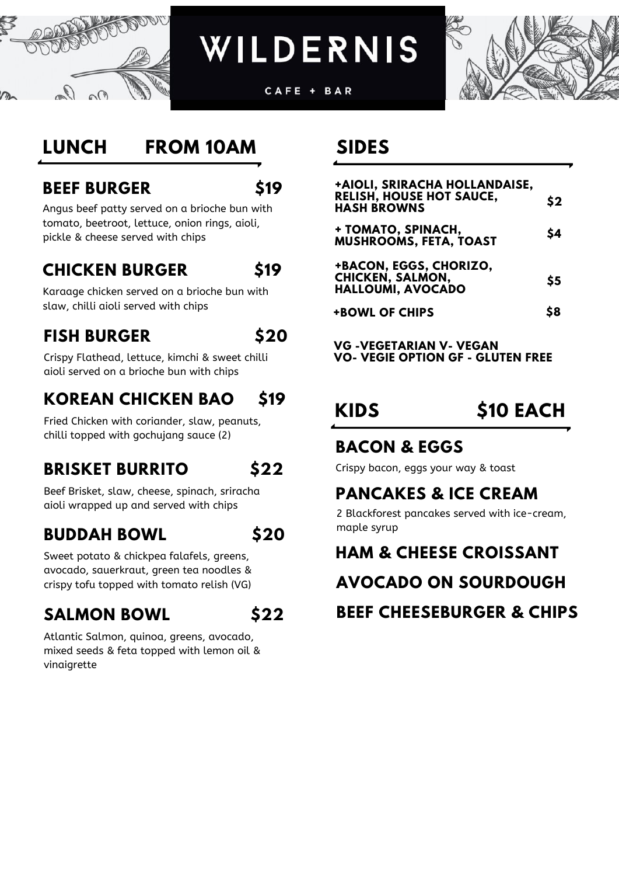

WILDERNIS

CAFE + BAR



# **LUNCH FROM 10AM**

#### **BEEF BURGER \$19**

Angus beef patty served on a brioche bun with tomato, beetroot, lettuce, onion rings, aioli, pickle & cheese served with chips

#### **CHICKEN BURGER \$19**

Karaage chicken served on a brioche bun with slaw, chilli aioli served with chips

#### **FISH BURGER \$20**

Crispy Flathead, lettuce, kimchi & sweet chilli aioli served on a brioche bun with chips

# **KOREAN CHICKEN BAO \$19**

Fried Chicken with coriander, slaw, peanuts, chilli topped with gochujang sauce (2)

# **BRISKET BURRITO \$22**

Beef Brisket, slaw, cheese, spinach, sriracha aioli wrapped up and served with chips

### **BUDDAH BOWL \$20**

|  | w<br>۰. |
|--|---------|
|--|---------|

Sweet potato & chickpea falafels, greens, avocado, sauerkraut, green tea noodles & crispy tofu topped with tomato relish (VG)

# **SALMON BOWL \$22**

Atlantic Salmon, quinoa, greens, avocado, mixed seeds & feta topped with lemon oil & vinaigrette

#### **SIDES**

| +AIOLI, SRIRACHA HOLLANDAISE,                                                 |     |
|-------------------------------------------------------------------------------|-----|
| <b>RELISH, HOUSE HOT SAUCE,</b><br><b>HASH BROWNS</b>                         | \$2 |
| + TOMATO, SPINACH,<br><b>MUSHROOMS, FETA, TOAST</b>                           | \$4 |
| +BACON, EGGS, CHORIZO,<br><b>CHICKEN, SALMON,</b><br><b>HALLOUMI, AVOCADO</b> | \$5 |
| <b>+BOWL OF CHIPS</b>                                                         | \$8 |
|                                                                               |     |

**VG -VEGETARIAN V- VEGAN VO- VEGIE OPTION GF - GLUTEN FREE**

# **KIDS \$10 EACH**

#### **BACON & EGGS**

Crispy bacon, eggs your way & toast

#### **PANCAKES & ICE CREAM**

2 Blackforest pancakes served with ice-cream, maple syrup

### **HAM & CHEESE CROISSANT**

**AVOCADO ON SOURDOUGH**

**BEEF CHEESEBURGER & CHIPS**